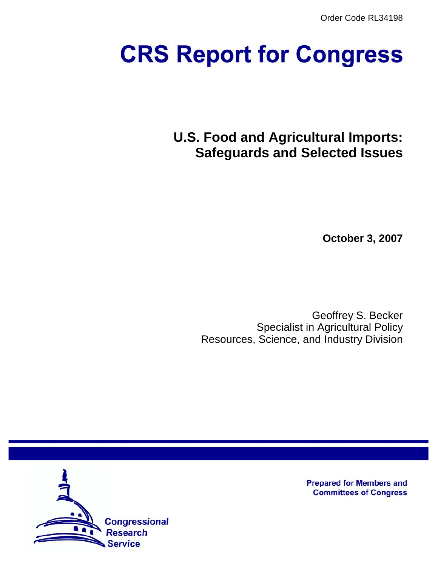Order Code RL34198

# **CRS Report for Congress**

**U.S. Food and Agricultural Imports: Safeguards and Selected Issues**

**October 3, 2007**

Geoffrey S. Becker Specialist in Agricultural Policy Resources, Science, and Industry Division



**Prepared for Members and Committees of Congress**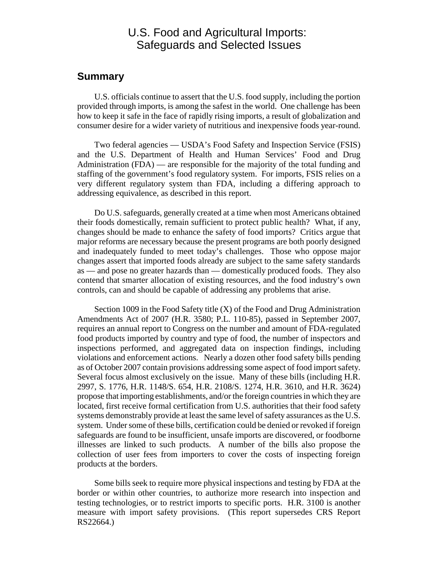# U.S. Food and Agricultural Imports: Safeguards and Selected Issues

## **Summary**

U.S. officials continue to assert that the U.S. food supply, including the portion provided through imports, is among the safest in the world. One challenge has been how to keep it safe in the face of rapidly rising imports, a result of globalization and consumer desire for a wider variety of nutritious and inexpensive foods year-round.

Two federal agencies — USDA's Food Safety and Inspection Service (FSIS) and the U.S. Department of Health and Human Services' Food and Drug Administration (FDA) — are responsible for the majority of the total funding and staffing of the government's food regulatory system. For imports, FSIS relies on a very different regulatory system than FDA, including a differing approach to addressing equivalence, as described in this report.

Do U.S. safeguards, generally created at a time when most Americans obtained their foods domestically, remain sufficient to protect public health? What, if any, changes should be made to enhance the safety of food imports? Critics argue that major reforms are necessary because the present programs are both poorly designed and inadequately funded to meet today's challenges. Those who oppose major changes assert that imported foods already are subject to the same safety standards as — and pose no greater hazards than — domestically produced foods. They also contend that smarter allocation of existing resources, and the food industry's own controls, can and should be capable of addressing any problems that arise.

Section 1009 in the Food Safety title (X) of the Food and Drug Administration Amendments Act of 2007 (H.R. 3580; P.L. 110-85), passed in September 2007, requires an annual report to Congress on the number and amount of FDA-regulated food products imported by country and type of food, the number of inspectors and inspections performed, and aggregated data on inspection findings, including violations and enforcement actions. Nearly a dozen other food safety bills pending as of October 2007 contain provisions addressing some aspect of food import safety. Several focus almost exclusively on the issue. Many of these bills (including H.R. 2997, S. 1776, H.R. 1148/S. 654, H.R. 2108/S. 1274, H.R. 3610, and H.R. 3624) propose that importing establishments, and/or the foreign countries in which they are located, first receive formal certification from U.S. authorities that their food safety systems demonstrably provide at least the same level of safety assurances as the U.S. system. Under some of these bills, certification could be denied or revoked if foreign safeguards are found to be insufficient, unsafe imports are discovered, or foodborne illnesses are linked to such products. A number of the bills also propose the collection of user fees from importers to cover the costs of inspecting foreign products at the borders.

Some bills seek to require more physical inspections and testing by FDA at the border or within other countries, to authorize more research into inspection and testing technologies, or to restrict imports to specific ports. H.R. 3100 is another measure with import safety provisions. (This report supersedes CRS Report RS22664.)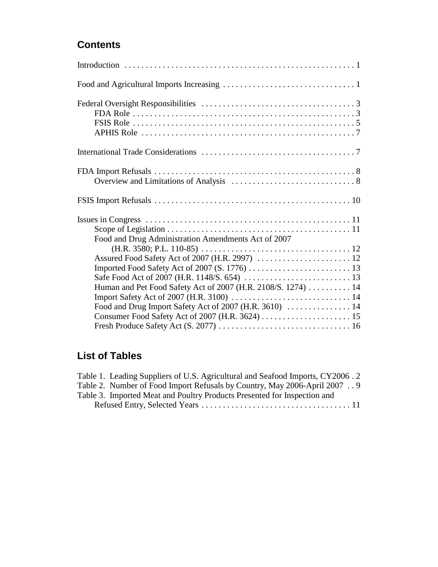# **Contents**

| Food and Drug Administration Amendments Act of 2007          |  |  |
|--------------------------------------------------------------|--|--|
|                                                              |  |  |
|                                                              |  |  |
|                                                              |  |  |
|                                                              |  |  |
| Human and Pet Food Safety Act of 2007 (H.R. 2108/S. 1274) 14 |  |  |
|                                                              |  |  |
|                                                              |  |  |
|                                                              |  |  |
|                                                              |  |  |

# **List of Tables**

| Table 1. Leading Suppliers of U.S. Agricultural and Seafood Imports, CY2006.2 |
|-------------------------------------------------------------------------------|
| Table 2. Number of Food Import Refusals by Country, May 2006-April 2007 9     |
| Table 3. Imported Meat and Poultry Products Presented for Inspection and      |
|                                                                               |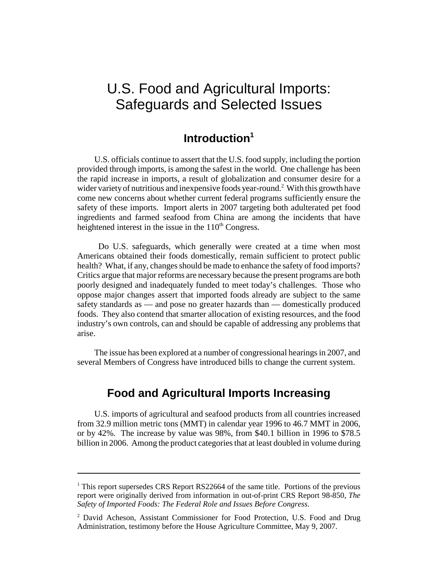# U.S. Food and Agricultural Imports: Safeguards and Selected Issues

# **Introduction1**

U.S. officials continue to assert that the U.S. food supply, including the portion provided through imports, is among the safest in the world. One challenge has been the rapid increase in imports, a result of globalization and consumer desire for a wider variety of nutritious and inexpensive foods year-round.<sup>2</sup> With this growth have come new concerns about whether current federal programs sufficiently ensure the safety of these imports. Import alerts in 2007 targeting both adulterated pet food ingredients and farmed seafood from China are among the incidents that have heightened interest in the issue in the  $110<sup>th</sup> Congress$ .

 Do U.S. safeguards, which generally were created at a time when most Americans obtained their foods domestically, remain sufficient to protect public health? What, if any, changes should be made to enhance the safety of food imports? Critics argue that major reforms are necessary because the present programs are both poorly designed and inadequately funded to meet today's challenges. Those who oppose major changes assert that imported foods already are subject to the same safety standards as — and pose no greater hazards than — domestically produced foods. They also contend that smarter allocation of existing resources, and the food industry's own controls, can and should be capable of addressing any problems that arise.

The issue has been explored at a number of congressional hearings in 2007, and several Members of Congress have introduced bills to change the current system.

# **Food and Agricultural Imports Increasing**

U.S. imports of agricultural and seafood products from all countries increased from 32.9 million metric tons (MMT) in calendar year 1996 to 46.7 MMT in 2006, or by 42%. The increase by value was 98%, from \$40.1 billion in 1996 to \$78.5 billion in 2006. Among the product categories that at least doubled in volume during

<sup>&</sup>lt;sup>1</sup> This report supersedes CRS Report RS22664 of the same title. Portions of the previous report were originally derived from information in out-of-print CRS Report 98-850, *The Safety of Imported Foods: The Federal Role and Issues Before Congress*.

<sup>&</sup>lt;sup>2</sup> David Acheson, Assistant Commissioner for Food Protection, U.S. Food and Drug Administration, testimony before the House Agriculture Committee, May 9, 2007.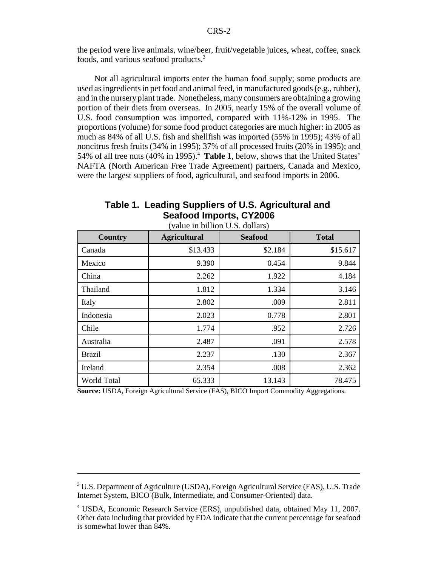the period were live animals, wine/beer, fruit/vegetable juices, wheat, coffee, snack foods, and various seafood products.3

Not all agricultural imports enter the human food supply; some products are used as ingredients in pet food and animal feed, in manufactured goods (e.g., rubber), and in the nursery plant trade. Nonetheless, many consumers are obtaining a growing portion of their diets from overseas. In 2005, nearly 15% of the overall volume of U.S. food consumption was imported, compared with 11%-12% in 1995. The proportions (volume) for some food product categories are much higher: in 2005 as much as 84% of all U.S. fish and shellfish was imported (55% in 1995); 43% of all noncitrus fresh fruits (34% in 1995); 37% of all processed fruits (20% in 1995); and 54% of all tree nuts (40% in 1995).<sup>4</sup> Table 1, below, shows that the United States' NAFTA (North American Free Trade Agreement) partners, Canada and Mexico, were the largest suppliers of food, agricultural, and seafood imports in 2006.

| Table 1. Leading Suppliers of U.S. Agricultural and |
|-----------------------------------------------------|
| <b>Seafood Imports, CY2006</b>                      |

| <b>Country</b> | <b>Agricultural</b> | <b>Seafood</b> | <b>Total</b> |
|----------------|---------------------|----------------|--------------|
| Canada         | \$13.433            | \$2.184        | \$15.617     |
| Mexico         | 9.390               | 0.454          | 9.844        |
| China          | 2.262               | 1.922          | 4.184        |
| Thailand       | 1.812               | 1.334          | 3.146        |
| Italy          | 2.802               | .009           | 2.811        |
| Indonesia      | 2.023               | 0.778          | 2.801        |
| Chile          | 1.774               | .952           | 2.726        |
| Australia      | 2.487               | .091           | 2.578        |
| <b>Brazil</b>  | 2.237               | .130           | 2.367        |
| Ireland        | 2.354               | .008           | 2.362        |
| World Total    | 65.333              | 13.143         | 78.475       |

(value in billion U.S. dollars)

**Source:** USDA, Foreign Agricultural Service (FAS), BICO Import Commodity Aggregations.

<sup>&</sup>lt;sup>3</sup> U.S. Department of Agriculture (USDA), Foreign Agricultural Service (FAS), U.S. Trade Internet System, BICO (Bulk, Intermediate, and Consumer-Oriented) data.

<sup>4</sup> USDA, Economic Research Service (ERS), unpublished data, obtained May 11, 2007. Other data including that provided by FDA indicate that the current percentage for seafood is somewhat lower than 84%.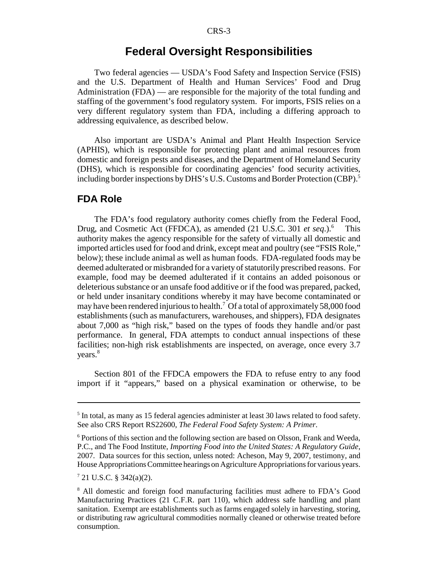## **Federal Oversight Responsibilities**

Two federal agencies — USDA's Food Safety and Inspection Service (FSIS) and the U.S. Department of Health and Human Services' Food and Drug Administration (FDA) — are responsible for the majority of the total funding and staffing of the government's food regulatory system. For imports, FSIS relies on a very different regulatory system than FDA, including a differing approach to addressing equivalence, as described below.

Also important are USDA's Animal and Plant Health Inspection Service (APHIS), which is responsible for protecting plant and animal resources from domestic and foreign pests and diseases, and the Department of Homeland Security (DHS), which is responsible for coordinating agencies' food security activities, including border inspections by DHS's U.S. Customs and Border Protection (CBP).<sup>5</sup>

#### **FDA Role**

The FDA's food regulatory authority comes chiefly from the Federal Food, Drug, and Cosmetic Act (FFDCA), as amended (21 U.S.C. 301 *et seq*.).6 This authority makes the agency responsible for the safety of virtually all domestic and imported articles used for food and drink, except meat and poultry (see "FSIS Role," below); these include animal as well as human foods. FDA-regulated foods may be deemed adulterated or misbranded for a variety of statutorily prescribed reasons. For example, food may be deemed adulterated if it contains an added poisonous or deleterious substance or an unsafe food additive or if the food was prepared, packed, or held under insanitary conditions whereby it may have become contaminated or may have been rendered injurious to health.<sup>7</sup> Of a total of approximately 58,000 food establishments (such as manufacturers, warehouses, and shippers), FDA designates about 7,000 as "high risk," based on the types of foods they handle and/or past performance. In general, FDA attempts to conduct annual inspections of these facilities; non-high risk establishments are inspected, on average, once every 3.7 years.<sup>8</sup>

Section 801 of the FFDCA empowers the FDA to refuse entry to any food import if it "appears," based on a physical examination or otherwise, to be

<sup>&</sup>lt;sup>5</sup> In total, as many as 15 federal agencies administer at least 30 laws related to food safety. See also CRS Report RS22600, *The Federal Food Safety System: A Primer*.

<sup>&</sup>lt;sup>6</sup> Portions of this section and the following section are based on Olsson, Frank and Weeda, P.C., and The Food Institute, *Importing Food into the United States: A Regulatory Guide*, 2007. Data sources for this section, unless noted: Acheson, May 9, 2007, testimony, and House Appropriations Committee hearings on Agriculture Appropriations for various years.

 $7$  21 U.S.C. § 342(a)(2).

<sup>8</sup> All domestic and foreign food manufacturing facilities must adhere to FDA's Good Manufacturing Practices (21 C.F.R. part 110), which address safe handling and plant sanitation. Exempt are establishments such as farms engaged solely in harvesting, storing, or distributing raw agricultural commodities normally cleaned or otherwise treated before consumption.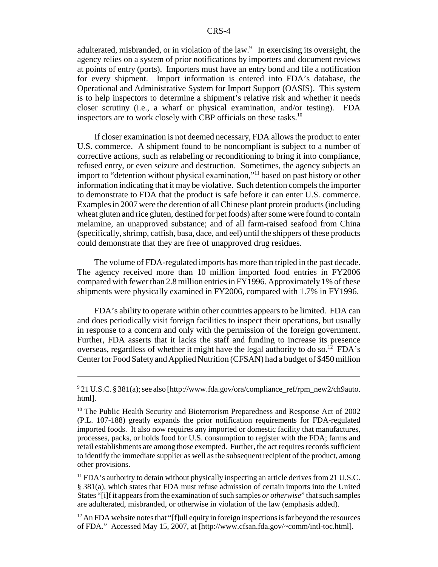adulterated, misbranded, or in violation of the law.<sup>9</sup> In exercising its oversight, the agency relies on a system of prior notifications by importers and document reviews at points of entry (ports). Importers must have an entry bond and file a notification for every shipment. Import information is entered into FDA's database, the Operational and Administrative System for Import Support (OASIS). This system is to help inspectors to determine a shipment's relative risk and whether it needs closer scrutiny (i.e., a wharf or physical examination, and/or testing). FDA inspectors are to work closely with CBP officials on these tasks.<sup>10</sup>

If closer examination is not deemed necessary, FDA allows the product to enter U.S. commerce. A shipment found to be noncompliant is subject to a number of corrective actions, such as relabeling or reconditioning to bring it into compliance, refused entry, or even seizure and destruction. Sometimes, the agency subjects an import to "detention without physical examination,"11 based on past history or other information indicating that it may be violative. Such detention compels the importer to demonstrate to FDA that the product is safe before it can enter U.S. commerce. Examples in 2007 were the detention of all Chinese plant protein products (including wheat gluten and rice gluten, destined for pet foods) after some were found to contain melamine, an unapproved substance; and of all farm-raised seafood from China (specifically, shrimp, catfish, basa, dace, and eel) until the shippers of these products could demonstrate that they are free of unapproved drug residues.

The volume of FDA-regulated imports has more than tripled in the past decade. The agency received more than 10 million imported food entries in FY2006 compared with fewer than 2.8 million entries in FY1996. Approximately 1% of these shipments were physically examined in FY2006, compared with 1.7% in FY1996.

FDA's ability to operate within other countries appears to be limited. FDA can and does periodically visit foreign facilities to inspect their operations, but usually in response to a concern and only with the permission of the foreign government. Further, FDA asserts that it lacks the staff and funding to increase its presence overseas, regardless of whether it might have the legal authority to do so.<sup>12</sup> FDA's Center for Food Safety and Applied Nutrition (CFSAN) had a budget of \$450 million

 $12$  An FDA website notes that "[f]ull equity in foreign inspections is far beyond the resources of FDA." Accessed May 15, 2007, at [http://www.cfsan.fda.gov/~comm/intl-toc.html].

<sup>&</sup>lt;sup>9</sup> 21 U.S.C. § 381(a); see also [http://www.fda.gov/ora/compliance\_ref/rpm\_new2/ch9auto. html].

<sup>&</sup>lt;sup>10</sup> The Public Health Security and Bioterrorism Preparedness and Response Act of 2002 (P.L. 107-188) greatly expands the prior notification requirements for FDA-regulated imported foods. It also now requires any imported or domestic facility that manufactures, processes, packs, or holds food for U.S. consumption to register with the FDA; farms and retail establishments are among those exempted. Further, the act requires records sufficient to identify the immediate supplier as well as the subsequent recipient of the product, among other provisions.

 $<sup>11</sup>$  FDA's authority to detain without physically inspecting an article derives from 21 U.S.C.</sup> § 381(a), which states that FDA must refuse admission of certain imports into the United States "[i]f it appears from the examination of such samples *or otherwise*" that such samples are adulterated, misbranded, or otherwise in violation of the law (emphasis added).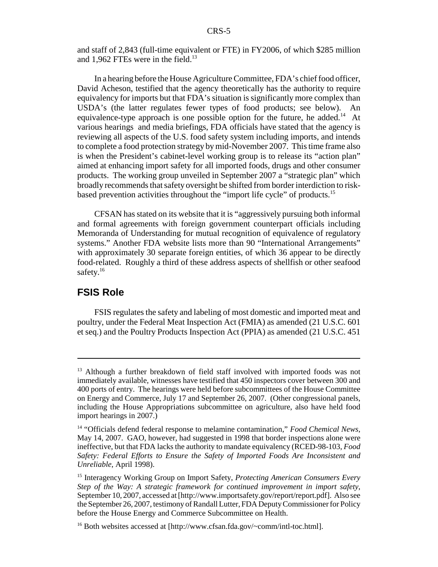and staff of 2,843 (full-time equivalent or FTE) in FY2006, of which \$285 million and 1,962 FTEs were in the field. $^{13}$ 

In a hearing before the House Agriculture Committee, FDA's chief food officer, David Acheson, testified that the agency theoretically has the authority to require equivalency for imports but that FDA's situation is significantly more complex than USDA's (the latter regulates fewer types of food products; see below). An equivalence-type approach is one possible option for the future, he added.<sup>14</sup> At various hearings and media briefings, FDA officials have stated that the agency is reviewing all aspects of the U.S. food safety system including imports, and intends to complete a food protection strategy by mid-November 2007. This time frame also is when the President's cabinet-level working group is to release its "action plan" aimed at enhancing import safety for all imported foods, drugs and other consumer products. The working group unveiled in September 2007 a "strategic plan" which broadly recommends that safety oversight be shifted from border interdiction to riskbased prevention activities throughout the "import life cycle" of products.<sup>15</sup>

CFSAN has stated on its website that it is "aggressively pursuing both informal and formal agreements with foreign government counterpart officials including Memoranda of Understanding for mutual recognition of equivalence of regulatory systems." Another FDA website lists more than 90 "International Arrangements" with approximately 30 separate foreign entities, of which 36 appear to be directly food-related. Roughly a third of these address aspects of shellfish or other seafood safety.<sup>16</sup>

## **FSIS Role**

FSIS regulates the safety and labeling of most domestic and imported meat and poultry, under the Federal Meat Inspection Act (FMIA) as amended (21 U.S.C. 601 et seq.) and the Poultry Products Inspection Act (PPIA) as amended (21 U.S.C. 451

<sup>&</sup>lt;sup>13</sup> Although a further breakdown of field staff involved with imported foods was not immediately available, witnesses have testified that 450 inspectors cover between 300 and 400 ports of entry. The hearings were held before subcommittees of the House Committee on Energy and Commerce, July 17 and September 26, 2007. (Other congressional panels, including the House Appropriations subcommittee on agriculture, also have held food import hearings in 2007.)

<sup>14 &</sup>quot;Officials defend federal response to melamine contamination," *Food Chemical News*, May 14, 2007. GAO, however, had suggested in 1998 that border inspections alone were ineffective, but that FDA lacks the authority to mandate equivalency (RCED-98-103, *Food Safety: Federal Efforts to Ensure the Safety of Imported Foods Are Inconsistent and Unreliable*, April 1998).

<sup>15</sup> Interagency Working Group on Import Safety, *Protecting American Consumers Every Step of the Way: A strategic framework for continued improvement in import safety*, September 10, 2007, accessed at [http://www.importsafety.gov/report/report.pdf]. Also see the September 26, 2007, testimony of Randall Lutter, FDA Deputy Commissioner for Policy before the House Energy and Commerce Subcommittee on Health.

<sup>&</sup>lt;sup>16</sup> Both websites accessed at  $[http://www.cfsan.fda.gov/~comm/int1-to.c.html].$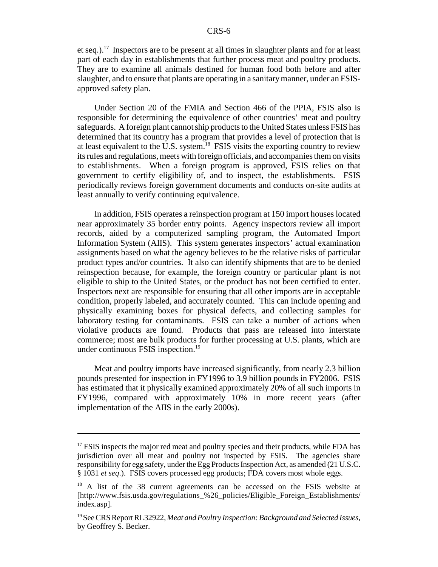et seq.).<sup>17</sup> Inspectors are to be present at all times in slaughter plants and for at least part of each day in establishments that further process meat and poultry products. They are to examine all animals destined for human food both before and after slaughter, and to ensure that plants are operating in a sanitary manner, under an FSISapproved safety plan.

Under Section 20 of the FMIA and Section 466 of the PPIA, FSIS also is responsible for determining the equivalence of other countries' meat and poultry safeguards. A foreign plant cannot ship products to the United States unless FSIS has determined that its country has a program that provides a level of protection that is at least equivalent to the U.S. system.18 FSIS visits the exporting country to review its rules and regulations, meets with foreign officials, and accompanies them on visits to establishments. When a foreign program is approved, FSIS relies on that government to certify eligibility of, and to inspect, the establishments. FSIS periodically reviews foreign government documents and conducts on-site audits at least annually to verify continuing equivalence.

In addition, FSIS operates a reinspection program at 150 import houses located near approximately 35 border entry points. Agency inspectors review all import records, aided by a computerized sampling program, the Automated Import Information System (AIIS). This system generates inspectors' actual examination assignments based on what the agency believes to be the relative risks of particular product types and/or countries. It also can identify shipments that are to be denied reinspection because, for example, the foreign country or particular plant is not eligible to ship to the United States, or the product has not been certified to enter. Inspectors next are responsible for ensuring that all other imports are in acceptable condition, properly labeled, and accurately counted. This can include opening and physically examining boxes for physical defects, and collecting samples for laboratory testing for contaminants. FSIS can take a number of actions when violative products are found. Products that pass are released into interstate commerce; most are bulk products for further processing at U.S. plants, which are under continuous FSIS inspection.<sup>19</sup>

Meat and poultry imports have increased significantly, from nearly 2.3 billion pounds presented for inspection in FY1996 to 3.9 billion pounds in FY2006. FSIS has estimated that it physically examined approximately 20% of all such imports in FY1996, compared with approximately 10% in more recent years (after implementation of the AIIS in the early 2000s).

 $17$  FSIS inspects the major red meat and poultry species and their products, while FDA has jurisdiction over all meat and poultry not inspected by FSIS. The agencies share responsibility for egg safety, under the Egg Products Inspection Act, as amended (21 U.S.C. § 1031 *et seq*.). FSIS covers processed egg products; FDA covers most whole eggs.

<sup>&</sup>lt;sup>18</sup> A list of the 38 current agreements can be accessed on the FSIS website at [http://www.fsis.usda.gov/regulations\_%26\_policies/Eligible\_Foreign\_Establishments/ index.asp].

<sup>19</sup> See CRS Report RL32922, *Meat and Poultry Inspection: Background and Selected Issues*, by Geoffrey S. Becker.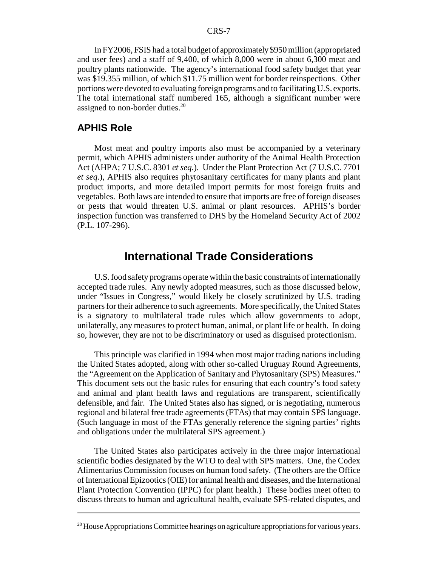In FY2006, FSIS had a total budget of approximately \$950 million (appropriated and user fees) and a staff of 9,400, of which 8,000 were in about 6,300 meat and poultry plants nationwide. The agency's international food safety budget that year was \$19.355 million, of which \$11.75 million went for border reinspections. Other portions were devoted to evaluating foreign programs and to facilitating U.S. exports. The total international staff numbered 165, although a significant number were assigned to non-border duties.<sup>20</sup>

## **APHIS Role**

Most meat and poultry imports also must be accompanied by a veterinary permit, which APHIS administers under authority of the Animal Health Protection Act (AHPA; 7 U.S.C. 8301 *et seq*.). Under the Plant Protection Act (7 U.S.C. 7701 *et seq*.), APHIS also requires phytosanitary certificates for many plants and plant product imports, and more detailed import permits for most foreign fruits and vegetables. Both laws are intended to ensure that imports are free of foreign diseases or pests that would threaten U.S. animal or plant resources. APHIS's border inspection function was transferred to DHS by the Homeland Security Act of 2002 (P.L. 107-296).

## **International Trade Considerations**

U.S. food safety programs operate within the basic constraints of internationally accepted trade rules. Any newly adopted measures, such as those discussed below, under "Issues in Congress," would likely be closely scrutinized by U.S. trading partners for their adherence to such agreements. More specifically, the United States is a signatory to multilateral trade rules which allow governments to adopt, unilaterally, any measures to protect human, animal, or plant life or health. In doing so, however, they are not to be discriminatory or used as disguised protectionism.

This principle was clarified in 1994 when most major trading nations including the United States adopted, along with other so-called Uruguay Round Agreements, the "Agreement on the Application of Sanitary and Phytosanitary (SPS) Measures." This document sets out the basic rules for ensuring that each country's food safety and animal and plant health laws and regulations are transparent, scientifically defensible, and fair. The United States also has signed, or is negotiating, numerous regional and bilateral free trade agreements (FTAs) that may contain SPS language. (Such language in most of the FTAs generally reference the signing parties' rights and obligations under the multilateral SPS agreement.)

The United States also participates actively in the three major international scientific bodies designated by the WTO to deal with SPS matters. One, the Codex Alimentarius Commission focuses on human food safety. (The others are the Office of International Epizootics (OIE) for animal health and diseases, and the International Plant Protection Convention (IPPC) for plant health.) These bodies meet often to discuss threats to human and agricultural health, evaluate SPS-related disputes, and

 $20$  House Appropriations Committee hearings on agriculture appropriations for various years.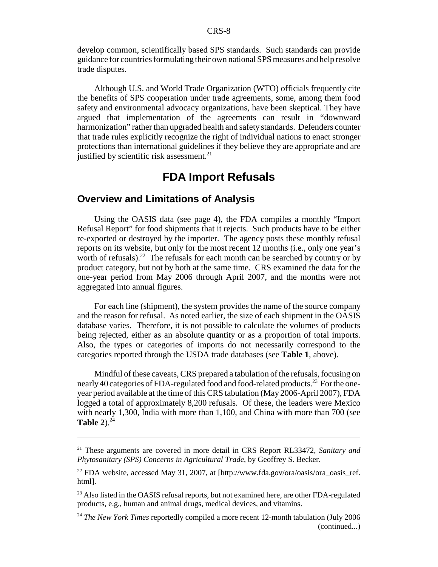develop common, scientifically based SPS standards. Such standards can provide guidance for countries formulating their own national SPS measures and help resolve trade disputes.

Although U.S. and World Trade Organization (WTO) officials frequently cite the benefits of SPS cooperation under trade agreements, some, among them food safety and environmental advocacy organizations, have been skeptical. They have argued that implementation of the agreements can result in "downward harmonization" rather than upgraded health and safety standards. Defenders counter that trade rules explicitly recognize the right of individual nations to enact stronger protections than international guidelines if they believe they are appropriate and are justified by scientific risk assessment. $^{21}$ 

# **FDA Import Refusals**

## **Overview and Limitations of Analysis**

Using the OASIS data (see page 4), the FDA compiles a monthly "Import Refusal Report" for food shipments that it rejects. Such products have to be either re-exported or destroyed by the importer. The agency posts these monthly refusal reports on its website, but only for the most recent 12 months (i.e., only one year's worth of refusals).<sup>22</sup> The refusals for each month can be searched by country or by product category, but not by both at the same time. CRS examined the data for the one-year period from May 2006 through April 2007, and the months were not aggregated into annual figures.

For each line (shipment), the system provides the name of the source company and the reason for refusal. As noted earlier, the size of each shipment in the OASIS database varies. Therefore, it is not possible to calculate the volumes of products being rejected, either as an absolute quantity or as a proportion of total imports. Also, the types or categories of imports do not necessarily correspond to the categories reported through the USDA trade databases (see **Table 1**, above).

Mindful of these caveats, CRS prepared a tabulation of the refusals, focusing on nearly 40 categories of FDA-regulated food and food-related products.<sup>23</sup> For the oneyear period available at the time of this CRS tabulation (May 2006-April 2007), FDA logged a total of approximately 8,200 refusals. Of these, the leaders were Mexico with nearly 1,300, India with more than 1,100, and China with more than 700 (see **Table 2**). $^{24}$ 

<sup>21</sup> These arguments are covered in more detail in CRS Report RL33472, *Sanitary and Phytosanitary (SPS) Concerns in Agricultural Trade*, by Geoffrey S. Becker.

<sup>&</sup>lt;sup>22</sup> FDA website, accessed May 31, 2007, at  $[http://www.fda.gov/ora/oasis/ora-oasis-ref.$ html].

<sup>&</sup>lt;sup>23</sup> Also listed in the OASIS refusal reports, but not examined here, are other FDA-regulated products, e.g., human and animal drugs, medical devices, and vitamins.

<sup>&</sup>lt;sup>24</sup> *The New York Times* reportedly compiled a more recent 12-month tabulation (July 2006) (continued...)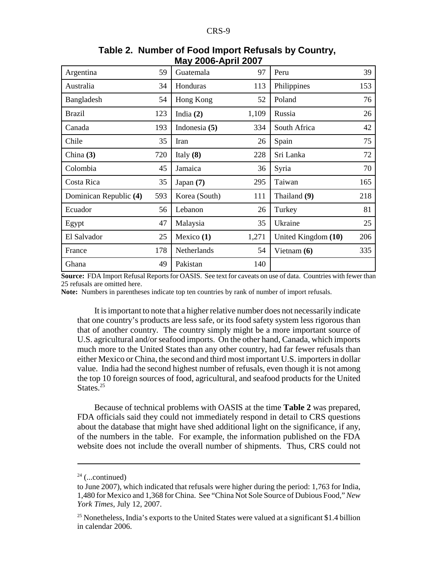| Argentina              | 59  | $-00001$ . The set of $-0.000$<br>Guatemala | 97    | Peru                | 39  |
|------------------------|-----|---------------------------------------------|-------|---------------------|-----|
| Australia              | 34  | Honduras                                    | 113   | Philippines         | 153 |
| Bangladesh             | 54  | Hong Kong                                   | 52    | Poland              | 76  |
| <b>Brazil</b>          | 123 | India $(2)$                                 | 1,109 | Russia              | 26  |
| Canada                 | 193 | Indonesia $(5)$                             | 334   | South Africa        | 42  |
| Chile                  | 35  | Iran                                        | 26    | Spain               | 75  |
| China $(3)$            | 720 | Italy $(8)$                                 | 228   | Sri Lanka           | 72  |
| Colombia               | 45  | Jamaica                                     | 36    | Syria               | 70  |
| Costa Rica             | 35  | Japan $(7)$                                 | 295   | Taiwan              | 165 |
| Dominican Republic (4) | 593 | Korea (South)                               | 111   | Thailand (9)        | 218 |
| Ecuador                | 56  | Lebanon                                     | 26    | Turkey              | 81  |
| Egypt                  | 47  | Malaysia                                    | 35    | Ukraine             | 25  |
| El Salvador            | 25  | Mexico $(1)$                                | 1,271 | United Kingdom (10) | 206 |
| France                 | 178 | Netherlands                                 | 54    | Vietnam $(6)$       | 335 |
| Ghana                  | 49  | Pakistan                                    | 140   |                     |     |

## **Table 2. Number of Food Import Refusals by Country, May 2006-April 2007**

**Source:** FDA Import Refusal Reports for OASIS. See text for caveats on use of data. Countries with fewer than 25 refusals are omitted here.

Note: Numbers in parentheses indicate top ten countries by rank of number of import refusals.

It is important to note that a higher relative number does not necessarily indicate that one country's products are less safe, or its food safety system less rigorous than that of another country. The country simply might be a more important source of U.S. agricultural and/or seafood imports. On the other hand, Canada, which imports much more to the United States than any other country, had far fewer refusals than either Mexico or China, the second and third most important U.S. importers in dollar value. India had the second highest number of refusals, even though it is not among the top 10 foreign sources of food, agricultural, and seafood products for the United States<sup>25</sup>

Because of technical problems with OASIS at the time **Table 2** was prepared, FDA officials said they could not immediately respond in detail to CRS questions about the database that might have shed additional light on the significance, if any, of the numbers in the table. For example, the information published on the FDA website does not include the overall number of shipments. Thus, CRS could not

 $24$  (...continued)

to June 2007), which indicated that refusals were higher during the period: 1,763 for India, 1,480 for Mexico and 1,368 for China. See "China Not Sole Source of Dubious Food," *New York Times*, July 12, 2007.

<sup>&</sup>lt;sup>25</sup> Nonetheless, India's exports to the United States were valued at a significant \$1.4 billion in calendar 2006.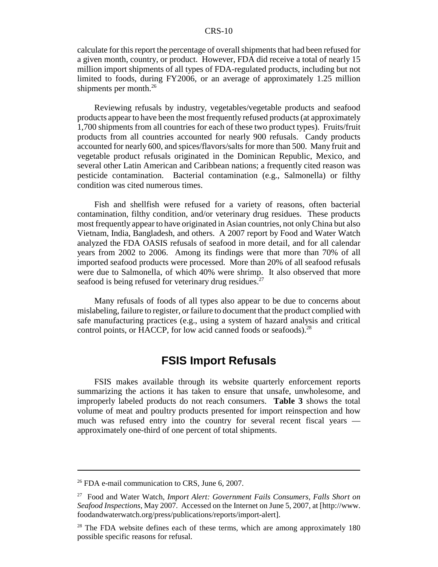#### CRS-10

calculate for this report the percentage of overall shipments that had been refused for a given month, country, or product. However, FDA did receive a total of nearly 15 million import shipments of all types of FDA-regulated products, including but not limited to foods, during FY2006, or an average of approximately 1.25 million shipments per month. $^{26}$ 

Reviewing refusals by industry, vegetables/vegetable products and seafood products appear to have been the most frequently refused products (at approximately 1,700 shipments from all countries for each of these two product types). Fruits/fruit products from all countries accounted for nearly 900 refusals. Candy products accounted for nearly 600, and spices/flavors/salts for more than 500. Many fruit and vegetable product refusals originated in the Dominican Republic, Mexico, and several other Latin American and Caribbean nations; a frequently cited reason was pesticide contamination. Bacterial contamination (e.g., Salmonella) or filthy condition was cited numerous times.

Fish and shellfish were refused for a variety of reasons, often bacterial contamination, filthy condition, and/or veterinary drug residues. These products most frequently appear to have originated in Asian countries, not only China but also Vietnam, India, Bangladesh, and others. A 2007 report by Food and Water Watch analyzed the FDA OASIS refusals of seafood in more detail, and for all calendar years from 2002 to 2006. Among its findings were that more than 70% of all imported seafood products were processed. More than 20% of all seafood refusals were due to Salmonella, of which 40% were shrimp. It also observed that more seafood is being refused for veterinary drug residues.<sup>27</sup>

Many refusals of foods of all types also appear to be due to concerns about mislabeling, failure to register, or failure to document that the product complied with safe manufacturing practices (e.g., using a system of hazard analysis and critical control points, or HACCP, for low acid canned foods or seafoods).<sup>28</sup>

# **FSIS Import Refusals**

FSIS makes available through its website quarterly enforcement reports summarizing the actions it has taken to ensure that unsafe, unwholesome, and improperly labeled products do not reach consumers. **Table 3** shows the total volume of meat and poultry products presented for import reinspection and how much was refused entry into the country for several recent fiscal years approximately one-third of one percent of total shipments.

 $26$  FDA e-mail communication to CRS, June 6, 2007.

<sup>27</sup> Food and Water Watch, *Import Alert: Government Fails Consumers, Falls Short on Seafood Inspections*, May 2007. Accessed on the Internet on June 5, 2007, at [http://www. foodandwaterwatch.org/press/publications/reports/import-alert].

 $2<sup>8</sup>$  The FDA website defines each of these terms, which are among approximately 180 possible specific reasons for refusal.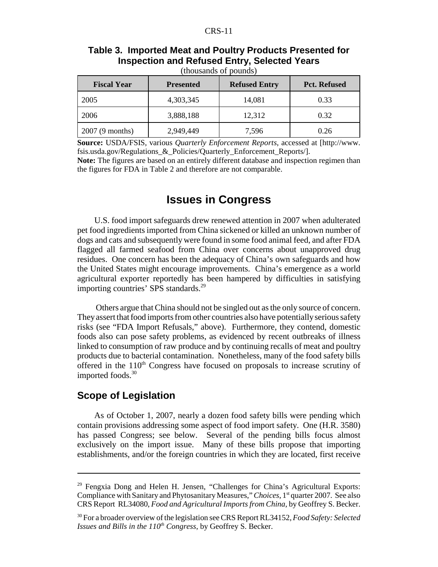| Table 3. Imported Meat and Poultry Products Presented for |
|-----------------------------------------------------------|
| <b>Inspection and Refused Entry, Selected Years</b>       |

| (thousands of pounds) |
|-----------------------|
|-----------------------|

| <b>Fiscal Year</b> | <b>Presented</b> | <b>Refused Entry</b> | <b>Pct. Refused</b> |
|--------------------|------------------|----------------------|---------------------|
| 2005               | 4,303,345        | 14,081               | 0.33                |
| 2006               | 3,888,188        | 12,312               | 0.32                |
| 2007 (9 months)    | 2,949,449        | 7,596                | 0.26                |

**Source:** USDA/FSIS, various *Quarterly Enforcement Reports*, accessed at [http://www. fsis.usda.gov/Regulations\_&\_Policies/Quarterly\_Enforcement\_Reports/].

**Note:** The figures are based on an entirely different database and inspection regimen than the figures for FDA in Table 2 and therefore are not comparable.

# **Issues in Congress**

U.S. food import safeguards drew renewed attention in 2007 when adulterated pet food ingredients imported from China sickened or killed an unknown number of dogs and cats and subsequently were found in some food animal feed, and after FDA flagged all farmed seafood from China over concerns about unapproved drug residues. One concern has been the adequacy of China's own safeguards and how the United States might encourage improvements. China's emergence as a world agricultural exporter reportedly has been hampered by difficulties in satisfying importing countries' SPS standards.<sup>29</sup>

 Others argue that China should not be singled out as the only source of concern. They assert that food imports from other countries also have potentially serious safety risks (see "FDA Import Refusals," above). Furthermore, they contend, domestic foods also can pose safety problems, as evidenced by recent outbreaks of illness linked to consumption of raw produce and by continuing recalls of meat and poultry products due to bacterial contamination. Nonetheless, many of the food safety bills offered in the  $110<sup>th</sup>$  Congress have focused on proposals to increase scrutiny of imported foods.<sup>30</sup>

## **Scope of Legislation**

As of October 1, 2007, nearly a dozen food safety bills were pending which contain provisions addressing some aspect of food import safety. One (H.R. 3580) has passed Congress; see below. Several of the pending bills focus almost exclusively on the import issue. Many of these bills propose that importing establishments, and/or the foreign countries in which they are located, first receive

<sup>&</sup>lt;sup>29</sup> Fengxia Dong and Helen H. Jensen, "Challenges for China's Agricultural Exports: Compliance with Sanitary and Phytosanitary Measures," *Choices*, 1<sup>st</sup> quarter 2007. See also CRS Report RL34080, *Food and Agricultural Imports from China*, by Geoffrey S. Becker.

<sup>30</sup> For a broader overview of the legislation see CRS Report RL34152, *Food Safety: Selected Issues and Bills in the*  $110^{th}$  *Congress*, by Geoffrey S. Becker.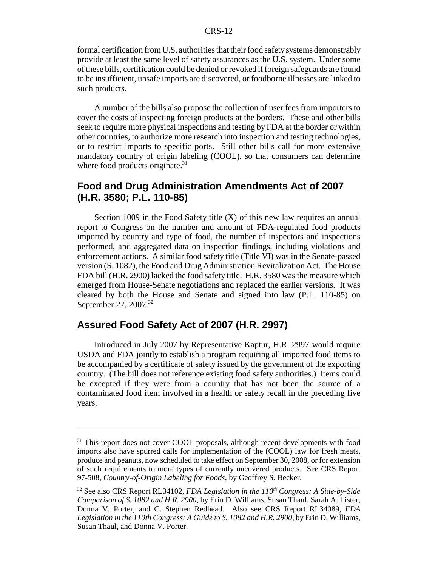formal certification from U.S. authorities that their food safety systems demonstrably provide at least the same level of safety assurances as the U.S. system. Under some of these bills, certification could be denied or revoked if foreign safeguards are found to be insufficient, unsafe imports are discovered, or foodborne illnesses are linked to such products.

A number of the bills also propose the collection of user fees from importers to cover the costs of inspecting foreign products at the borders. These and other bills seek to require more physical inspections and testing by FDA at the border or within other countries, to authorize more research into inspection and testing technologies, or to restrict imports to specific ports. Still other bills call for more extensive mandatory country of origin labeling (COOL), so that consumers can determine where food products originate.<sup>31</sup>

## **Food and Drug Administration Amendments Act of 2007 (H.R. 3580; P.L. 110-85)**

Section 1009 in the Food Safety title  $(X)$  of this new law requires an annual report to Congress on the number and amount of FDA-regulated food products imported by country and type of food, the number of inspectors and inspections performed, and aggregated data on inspection findings, including violations and enforcement actions. A similar food safety title (Title VI) was in the Senate-passed version (S. 1082), the Food and Drug Administration Revitalization Act. The House FDA bill (H.R. 2900) lacked the food safety title. H.R. 3580 was the measure which emerged from House-Senate negotiations and replaced the earlier versions. It was cleared by both the House and Senate and signed into law (P.L. 110-85) on September 27, 2007.<sup>32</sup>

## **Assured Food Safety Act of 2007 (H.R. 2997)**

Introduced in July 2007 by Representative Kaptur, H.R. 2997 would require USDA and FDA jointly to establish a program requiring all imported food items to be accompanied by a certificate of safety issued by the government of the exporting country. (The bill does not reference existing food safety authorities.) Items could be excepted if they were from a country that has not been the source of a contaminated food item involved in a health or safety recall in the preceding five years.

<sup>&</sup>lt;sup>31</sup> This report does not cover COOL proposals, although recent developments with food imports also have spurred calls for implementation of the (COOL) law for fresh meats, produce and peanuts, now scheduled to take effect on September 30, 2008, or for extension of such requirements to more types of currently uncovered products. See CRS Report 97-508, *Country-of-Origin Labeling for Foods*, by Geoffrey S. Becker.

<sup>&</sup>lt;sup>32</sup> See also CRS Report RL34102, *FDA Legislation in the 110<sup>th</sup> Congress: A Side-by-Side Comparison of S. 1082 and H.R. 2900*, by Erin D. Williams, Susan Thaul, Sarah A. Lister, Donna V. Porter, and C. Stephen Redhead. Also see CRS Report RL34089, *FDA Legislation in the 110th Congress: A Guide to S. 1082 and H.R. 2900*, by Erin D. Williams, Susan Thaul, and Donna V. Porter.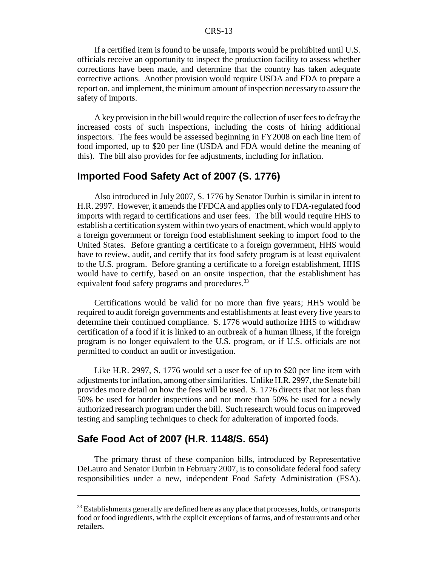#### CRS-13

If a certified item is found to be unsafe, imports would be prohibited until U.S. officials receive an opportunity to inspect the production facility to assess whether corrections have been made, and determine that the country has taken adequate corrective actions. Another provision would require USDA and FDA to prepare a report on, and implement, the minimum amount of inspection necessary to assure the safety of imports.

A key provision in the bill would require the collection of user fees to defray the increased costs of such inspections, including the costs of hiring additional inspectors. The fees would be assessed beginning in FY2008 on each line item of food imported, up to \$20 per line (USDA and FDA would define the meaning of this). The bill also provides for fee adjustments, including for inflation.

#### **Imported Food Safety Act of 2007 (S. 1776)**

Also introduced in July 2007, S. 1776 by Senator Durbin is similar in intent to H.R. 2997. However, it amends the FFDCA and applies only to FDA-regulated food imports with regard to certifications and user fees. The bill would require HHS to establish a certification system within two years of enactment, which would apply to a foreign government or foreign food establishment seeking to import food to the United States. Before granting a certificate to a foreign government, HHS would have to review, audit, and certify that its food safety program is at least equivalent to the U.S. program. Before granting a certificate to a foreign establishment, HHS would have to certify, based on an onsite inspection, that the establishment has equivalent food safety programs and procedures.<sup>33</sup>

Certifications would be valid for no more than five years; HHS would be required to audit foreign governments and establishments at least every five years to determine their continued compliance. S. 1776 would authorize HHS to withdraw certification of a food if it is linked to an outbreak of a human illness, if the foreign program is no longer equivalent to the U.S. program, or if U.S. officials are not permitted to conduct an audit or investigation.

Like H.R. 2997, S. 1776 would set a user fee of up to \$20 per line item with adjustments for inflation, among other similarities. Unlike H.R. 2997, the Senate bill provides more detail on how the fees will be used. S. 1776 directs that not less than 50% be used for border inspections and not more than 50% be used for a newly authorized research program under the bill. Such research would focus on improved testing and sampling techniques to check for adulteration of imported foods.

#### **Safe Food Act of 2007 (H.R. 1148/S. 654)**

The primary thrust of these companion bills, introduced by Representative DeLauro and Senator Durbin in February 2007, is to consolidate federal food safety responsibilities under a new, independent Food Safety Administration (FSA).

<sup>&</sup>lt;sup>33</sup> Establishments generally are defined here as any place that processes, holds, or transports food or food ingredients, with the explicit exceptions of farms, and of restaurants and other retailers.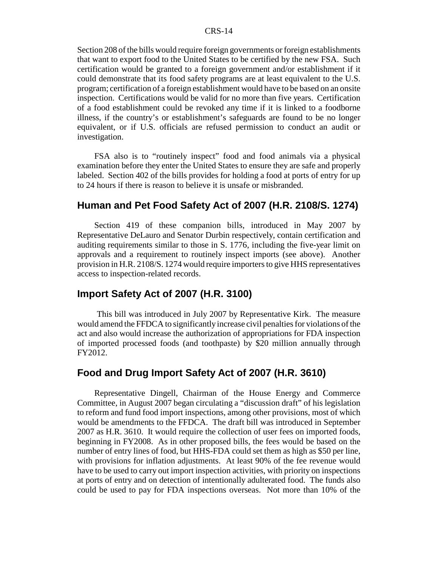Section 208 of the bills would require foreign governments or foreign establishments that want to export food to the United States to be certified by the new FSA. Such certification would be granted to a foreign government and/or establishment if it could demonstrate that its food safety programs are at least equivalent to the U.S. program; certification of a foreign establishment would have to be based on an onsite inspection. Certifications would be valid for no more than five years. Certification of a food establishment could be revoked any time if it is linked to a foodborne illness, if the country's or establishment's safeguards are found to be no longer equivalent, or if U.S. officials are refused permission to conduct an audit or investigation.

FSA also is to "routinely inspect" food and food animals via a physical examination before they enter the United States to ensure they are safe and properly labeled. Section 402 of the bills provides for holding a food at ports of entry for up to 24 hours if there is reason to believe it is unsafe or misbranded.

## **Human and Pet Food Safety Act of 2007 (H.R. 2108/S. 1274)**

Section 419 of these companion bills, introduced in May 2007 by Representative DeLauro and Senator Durbin respectively, contain certification and auditing requirements similar to those in S. 1776, including the five-year limit on approvals and a requirement to routinely inspect imports (see above). Another provision in H.R. 2108/S. 1274 would require importers to give HHS representatives access to inspection-related records.

#### **Import Safety Act of 2007 (H.R. 3100)**

 This bill was introduced in July 2007 by Representative Kirk. The measure would amend the FFDCA to significantly increase civil penalties for violations of the act and also would increase the authorization of appropriations for FDA inspection of imported processed foods (and toothpaste) by \$20 million annually through FY2012.

## **Food and Drug Import Safety Act of 2007 (H.R. 3610)**

Representative Dingell, Chairman of the House Energy and Commerce Committee, in August 2007 began circulating a "discussion draft" of his legislation to reform and fund food import inspections, among other provisions, most of which would be amendments to the FFDCA. The draft bill was introduced in September 2007 as H.R. 3610. It would require the collection of user fees on imported foods, beginning in FY2008. As in other proposed bills, the fees would be based on the number of entry lines of food, but HHS-FDA could set them as high as \$50 per line, with provisions for inflation adjustments. At least 90% of the fee revenue would have to be used to carry out import inspection activities, with priority on inspections at ports of entry and on detection of intentionally adulterated food. The funds also could be used to pay for FDA inspections overseas. Not more than 10% of the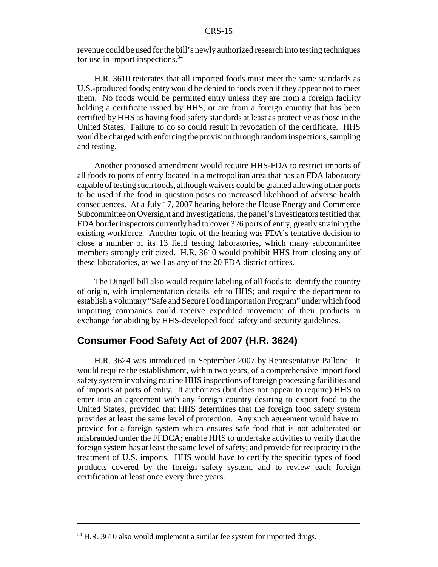revenue could be used for the bill's newly authorized research into testing techniques for use in import inspections.<sup>34</sup>

H.R. 3610 reiterates that all imported foods must meet the same standards as U.S.-produced foods; entry would be denied to foods even if they appear not to meet them. No foods would be permitted entry unless they are from a foreign facility holding a certificate issued by HHS, or are from a foreign country that has been certified by HHS as having food safety standards at least as protective as those in the United States. Failure to do so could result in revocation of the certificate. HHS would be charged with enforcing the provision through random inspections, sampling and testing.

Another proposed amendment would require HHS-FDA to restrict imports of all foods to ports of entry located in a metropolitan area that has an FDA laboratory capable of testing such foods, although waivers could be granted allowing other ports to be used if the food in question poses no increased likelihood of adverse health consequences. At a July 17, 2007 hearing before the House Energy and Commerce Subcommittee on Oversight and Investigations, the panel's investigators testified that FDA border inspectors currently had to cover 326 ports of entry, greatly straining the existing workforce. Another topic of the hearing was FDA's tentative decision to close a number of its 13 field testing laboratories, which many subcommittee members strongly criticized. H.R. 3610 would prohibit HHS from closing any of these laboratories, as well as any of the 20 FDA district offices.

The Dingell bill also would require labeling of all foods to identify the country of origin, with implementation details left to HHS; and require the department to establish a voluntary "Safe and Secure Food Importation Program" under which food importing companies could receive expedited movement of their products in exchange for abiding by HHS-developed food safety and security guidelines.

## **Consumer Food Safety Act of 2007 (H.R. 3624)**

H.R. 3624 was introduced in September 2007 by Representative Pallone. It would require the establishment, within two years, of a comprehensive import food safety system involving routine HHS inspections of foreign processing facilities and of imports at ports of entry. It authorizes (but does not appear to require) HHS to enter into an agreement with any foreign country desiring to export food to the United States, provided that HHS determines that the foreign food safety system provides at least the same level of protection. Any such agreement would have to: provide for a foreign system which ensures safe food that is not adulterated or misbranded under the FFDCA; enable HHS to undertake activities to verify that the foreign system has at least the same level of safety; and provide for reciprocity in the treatment of U.S. imports. HHS would have to certify the specific types of food products covered by the foreign safety system, and to review each foreign certification at least once every three years.

 $34$  H.R. 3610 also would implement a similar fee system for imported drugs.